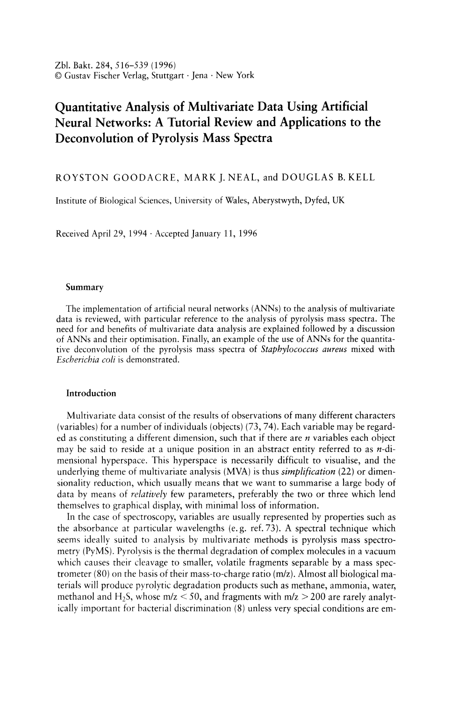Zbl. Bakt. 284, 516-539 (1996) © Gustav Fischer Verlag, Stuttgart· Jena . New York

# **Quantitative Analysis of Multivariate Data Using Artificial Neural Networks: A Tutorial Review and Applications to the Deconvolution of Pyrolysis Mass Spectra**

ROYSTON GOODACRE, MARK J. NEAL, and DOUGLAS B. KELL

Institute of Biological Sciences, University of Wales, Aberystwyth, Dyfed, UK

Received April 29, 1994· Accepted January 11, 1996

#### **Summary**

The implementation of artificial neural networks (ANNs) to the analysis of multivariate data is reviewed, with particular reference to the analysis of pyrolysis mass spectra. The need for and benefits of multivariate data analysis are explained followed by a discussion of ANNs and their optimisation. Finally, an example of the use of ANNs for the quantitative deconvolution of the pyrolysis mass spectra of *Staphylococcus aureus* mixed with *Escherichia coli* is demonstrated.

# **Introduction**

Multivariate data consist of the results of observations of many different characters (variables) for a number of individuals (objects) (73,74). Each variable may be regarded as constituting a different dimension, such that if there are *n* variables each object may be said to reside at a unique position in an abstract entity referred to as *n-di*mensional hyperspace. This hyperspace is necessarily difficult to visualise, and the underlying theme of multivariate analysis (MVA) is thus *simplification* (22) or dimensionality reduction, which usually means that we want to summarise a large body of data by means of *relatively* few parameters, preferably the two or three which lend themselves to graphical display, with minimal loss of information.

In the case of spectroscopy, variables are usually represented by properties such as the absorbance at particular wavelengths (e. g. ref. 73). A spectral technique which seems ideally suited to analysis by multivariate methods is pyrolysis mass spectrometry (PyMS). Pyrolysis is the thermal degradation of complex molecules in a vacuum which causes their cleavage to smaller, volatile fragments separable by a mass spectrometer (80) on the basis of their mass-to-charge ratio *(m/z)*. Almost all biological materials will produce pyrolytic degradation products such as methane, ammonia, water, methanol and H<sub>2</sub>S, whose  $m/z < 50$ , and fragments with  $m/z > 200$  are rarely analytically important for bacterial discrimination (8) unless very special conditions are em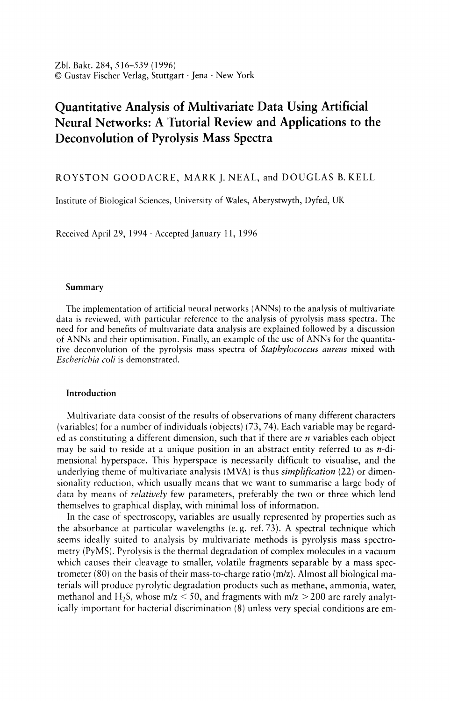ployed (98); the analytically useful multivariate data are then constituted by a set of 150 normalised intensities versus *mlz* in the range 51 to 200.

Conventionally, at least within microbiology and biotechnology, because PyMS has been used as a taxonomic aid (8, 43, 55, 64, 71, 80), the reduction of the multivariate data generated by the PyMS system (and indeed of those generated by other arrays of sensors; e. g. gas chromatography (70), spectroscopic methods (74), and nuclear magnetic resonance (67) is normally carried out using principal components analysis (PCA; 21, 22, 30, 34, 56, 74). This is a well-known technique for reducing the dimensionality of multivariate data whilst preserving most of the variance, and so is an excellent technique for observing the *natural* relationships between multivariate samples. Whilst it does not take account of any groupings in the data, neither does it require that the populations be normally distributed, i. e. it is a non-parametric method (in addition, it permits the loadings of each of the *mlz* ratios on the principal components to be determined, and thus the extraction of at least some chemically significant information). The closely-related canonical variates analysis (CVA) technique then separates the samples into groups on the basis of the principal components and some *a priori*  knowledge of the appropriate number of groupings (70, 109). Provided that the data set contains "standards" (i. e. type or centro-strains) it is evident that one can establish the closeness of any unknown samples to a known organism, and thus effect the identification of the former, a technique termed 'operational fingerprinting' by *Meuzelaar* et al. (80). An excellent example of the discriminatory power of the approach is the demonstration (44) that one can use it to distinguish E. *coli* strains which differ only in the presence or absence of single antibiotic-resistance plasmids. However, only rarely has the chemical basis for any such differences either been sought or found.

Analyses of the above type fall into the category of "unsupervised learning", in which the relevant multivariate algorithms seek "clusters" in the data (30). This allows the investigator to group objects together on the basis of their perceived closeness in the *n*-dimensional hyperspace referred to above. Such methods, then, although in some sense quantitative, are better seen as qualitative since their chief purpose is merely to *distinguish* objects or populations. More recently, a variety of related but much more powerful methods, most often referred to within the framework of chemometrics, have been applied to the "supervised" analysis of multivariate data. In these methods, of which multiple linear regression (MLR), partial least squares regression (PLS) and principal components regression (PCR) are the most widely used, one seeks to relate the multivariate spectral inputs to the concentrations of target determinands, i. e. to generate a quantitative analysis, essentially *via* suitable types of multidimensional curve fitting or regression analysis (14, 15, 17,74-76,79). Although non-linear versions of these techniques are increasingly available (e.g.  $35, 63, 67, 100, 110, 111, 112$ ), the usual implementations of these methods are linear in scope. A related approach to chemometrics, which is inherently nonlinear, however, is the use of (artificial) neural networks (ANNs) (see below).

For a given analytical system there are some patterns (e. g. mass spectra) which have desired responses which are known (i. e. the concentration of target determinands). These two types of data (the representation of the objects and their responses in the system) form pairs which for the present purpose are called inputs and targets. The goal of supervised learning is to find a *model* or *mapping* that will correctly associate the inputs with the targets (Fig. 1).

Thus the basic idea in these supervised learning techniques is that there are minimally 4 data sets to be studied, as follows. The "training data" consist of (i) a matrix of s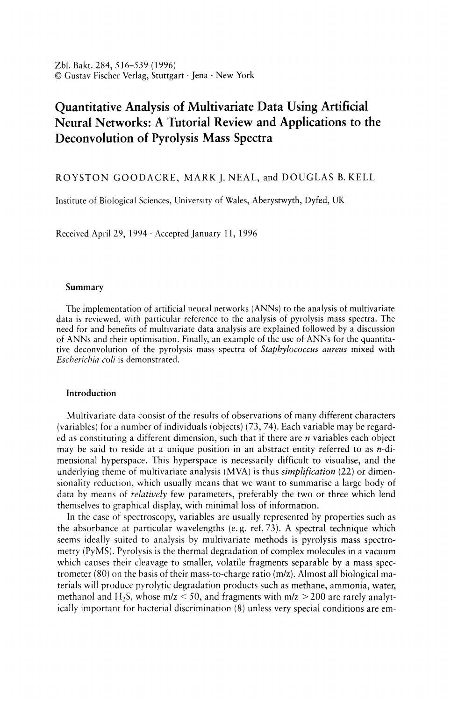

**PREDICTION:** 



Fig. 1. The process of multivariate calibration *via* supervised learning consists of two stages. Calibration: establishing a CALIBRATION MODEL for later prediction of "results" (e. g., amount of determinand) from "spectra" by matching spectral standards and the known results wanted from a set of calibration samples (the training set) in some sort of supervised learning calibration program; this may be by using a neural network simulation, or with a program that performs multiple linear regression, partial least squares or principal component regression. Some background knowledge may be used in the formation of the model such as *a priori* knowledge, variable selection and scaling, outlier detection and cross validation.

Prediction: converting instrumental data for new samples into predictions of wanted results (e. g., in terms of determinand concentration) using the above previously established CAL-IBRATION MODEL in the computer program.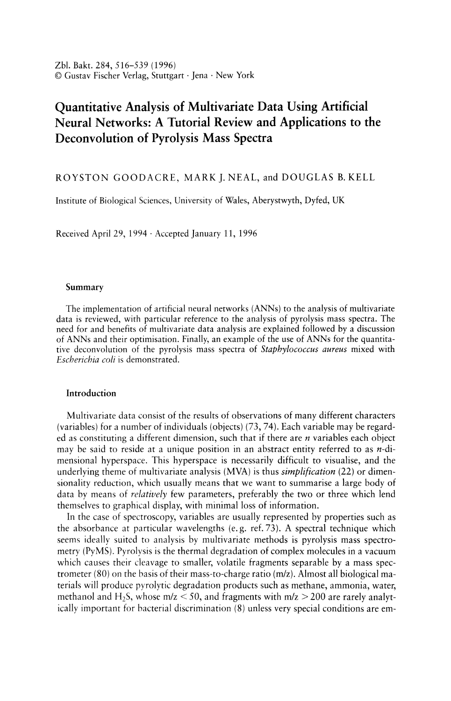rows and *n* columns in which s is the number of objects and *n* the number of variables (these may be the absorbance at particular wavelengths, or in the present case the normalised ion intensities at a particular  $m/z$ ; Fig. 1), and (ii) a second matrix, again consisting of s rows and typically 1 or two columns, in which the columns represent the variable(s) whose value(s) it is desired to know (these are the result(s) wanted; Fig. 1) and which for the training set have actually been determined by some existing, "benchmark" method. This variable may be the concentration of a target determinand, and is always paired with the patterns in the same row in (i). The "test data" also consist of two matrices, (iii) and (iv), corresponding to those in (i) and (ii) above, but the test set contains different objects. As the name suggests, this second pair is used to test the accuracy of the system; alternatively they may be used to cross-validate the model. That is to say, after construction of the model using the training set (i, ii) the test data (iii) (these may be new spectra; Fig. 1) are then "passed" through the calibration model so as to obtained the model's prediction of results. These may then be compared with the known, expected responses (iv).

As in all other data analysis techniques, these supervised learning methods are not immune from sensitivity to badly chosen initial data (113). Therefore the exemplars for the training set *must* be carefully chosen; the golden rule is "garbage in - garbage out". An excellent example of an unrepresentative training set was discussed some time ago on the BBC television programme *Horizon*; a neural network was trained to attempt to distinguish tanks from trees. Pictures were taken of forest scenes lacking military hardware and of similar but perhaps less bucolic landscapes which also contained more-or-less camouflaged battle tanks. A neural network was trained with these input data and found to differentiate most successfully between tanks and trees. However, when a new set of pictures was analysed by the network, it failed to distinguish the tanks from the trees. After further investigation, it was found that the first set of pictures containing tanks had been taken on a sunny day whilst those containing no tanks were obtained when it was overcast. The neural network had therefore thus learned simply to recognise the weather! We can conclude from this that the training and tests sets should be carefully selected to contain representative exemplars encompassing the appropriate variance over all relevant properties for the problem at hand.

It is also imperative that the objects fill the sample space. If a neural net is trained with samples in the concentration range from 0 to 50% it is unlikely to give a accurate estimates for samples whose concentrations are greater than 50%, that is to say the network is unable to *extrapolate.* Furthermore for the network to provide good *interpolation* it needs to be trained with a number of samples covering the desired concentration range (47).

#### Artificial neural networks

ANNs are an increasingly well-known means of uncovering complex, non-linear relationships in multivariate data, whilst still being able to map the linearities. ANNs can be considered as collections of very simple "computational units" which can take a numerical input and transform it, usually *via* summation, into an output (see 1, 2, 6, 20,24,28,40,59,60,66, 78, 87, 88, 93, 97, 102 and 103 for excellent introductions; and 4, 7, 9-12, 18, 23, 25, 29, 37, 42, 45, 47, 52, 65, 69, 77, 85, 89, 92, 96, 99, 105 and 114 for applications in analytical chemistry and microbiology).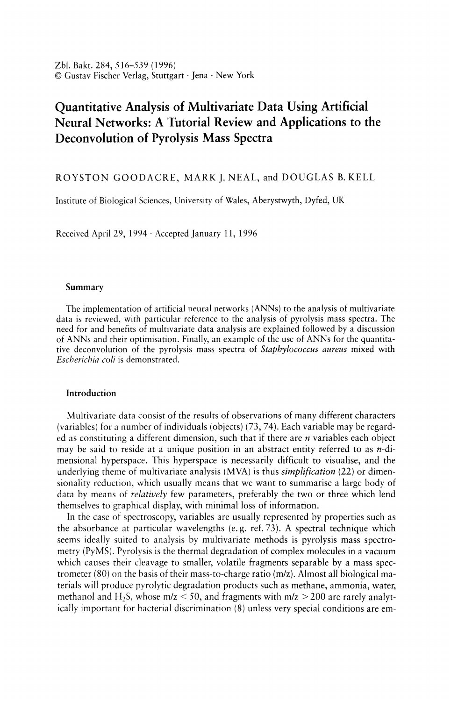## 520 R.Goodacre, M.J.Neal, and D.B.Kell

The relevant principle of "supervised" learning in ANNs is that, as with the multivariate calibration described above, they take numerical inputs (the training data, which are usually multivariate) and transform them into "desired" (known, predetermined) outputs. The input and output nodes may be connected to the "external world" and to other nodes within the network (for a diagrammatic representation see Fig. 2). The way in which each node transforms its input depends on the so-called "connection weights" (or "connection strength") and "bias" of the node, which are modifiable. The output of each node to another node or the external world then depends on both its



Fig. 2. A neural network consisting of 3 inputs (data for PyMS actually consisted of 150 inputs/masses) and 2 outputs (for the PyMS study this was a single node which represented the *%S. aureus)* connected to each other by 1 hidden layer consisting of 3 nodes (for PyMS this was actually 8). In the architecture shown, adjacent layers of the network are fully interconnected although other architectures are possible. One of the nodes in the hidden layer is given in more detail showing the information processing by node. An individual node sums its input (the  $\Sigma$  function) from nodes in the previous layer, including the bias ( $\vartheta$ ), transforms them *via* a "sigmoidal" squashing function, and outputs them to the next node to which it is linked *via* a connection weight.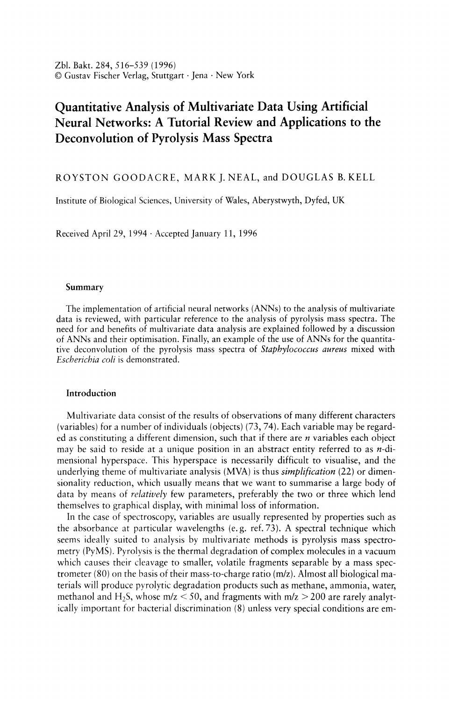weight strength, bias and on the weighted sum of all its inputs, which are then transformed by a (normally non-linear) weighting function referred to as its activation, threshold or squashing function. As with other supervised learning methods, the great power of neural networks stems from the fact that it is possible to "train" them. One can acquire sets of multivariate data (which may be pyrolysis mass spectra) from standard materials of known identities and train ANNs using these identities as the desired outputs. Training is effected by continually presenting the networks with the "known" inputs and outputs and modifying the connection weights between the individual nodes and the biases, typically according to some kind of back-propagation algorithm (93), until the output nodes of the network match the desired outputs to a stated degree of accuracy. The trained ANNs may then be exposed to unknown inputs (i. e. spectra) and they and will immediately provide the globally optimal best fit to the outputs.

Provided the ANN gives the correct results for "unknown" data (i. e. data unseen by the calibration system, but known by the operator) it may be said to have "generalised". The operator can now be confident that when *genuine* unknown spectra are passed through the neural network, the predictions will be accurate and precise, provided of course that these spectra bear some relationship to the training set.

The so-called *false-sample problem* often poses a major stumbling block for the routine application of these numerical techniques for the analysis of multivariate data (27). This occurs, for example, when an operator makes a calibration model to quantify substance *a* in *b,* but then tests the model on (say) c mixed with *b.* It should be obvious that the neural network calibration model is now being asked to extrapolate beyond the knowledge domain on which it was trained, and will thus fail to give an accurate prediction of the determinand. As well as exploiting appropriate software methods (e. g. statistical ones) to detect whether a test sample falls within the domain of validity of the training set, it is also possible to include suitable "false" samples and corresponding "dummy" output variables in the training set; this practice should allow the neural network to detect widely different samples (53). In this sense, then, analysis with ANNs of this type can fairly be regarded within the framework of the multivariate calibration approach as outlined in Figure 1.

The following summarises the fundamental nomenclature and the rudimentary mathematical concepts that are used to describe and analyse ANN processing.

#### *The processing units*

ANNs employ processing nodes (neurons or units), connected using abstract interconnections (connections or synapses). Connections each have an associated real value, termed the weight  $(w_i)$ , that scales the input  $(i_j)$  passing through them (Fig. 2); this also includes the bias  $(\vartheta)$ , which also has a modifiable weight. Nodes sum the signals feeding to them *(Net):* 

$$
\begin{aligned} \n\text{Net} &= i_1 w_1 + i_2 w_2 + i_3 w_3 + \dots + i_i w_i + \dots + i_n w_n = \\ \n&= \sum_{i=1}^n i_i w_i + \vartheta \n\end{aligned}
$$

# *Activation functions*

The sum of the scaled inputs and the node's bias, are then scaled to lie between 0 and  $+1$  (or sometimes between  $-1$  and  $+1$ ) by an activation function to give the nodes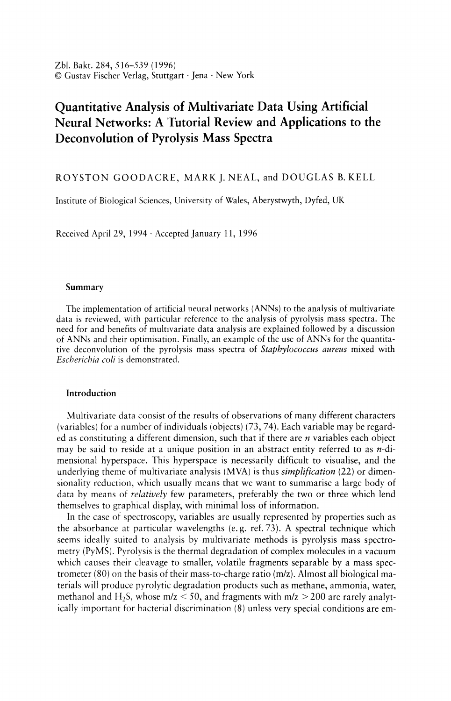output *(Out)*; this scaling is typically achieved using a logistic "squashing" (or sigmoidal) function:

$$
Out = \frac{1}{(1 + \exp^{-Net})}
$$

It is widely thought that a continuously differentiable sigmoidal squashing function (93,97, 102) is most appropriate, although some advantage may accrue to the use of a linear activation function on the output nodes.

# *Neural network topology*

ANN topologies, or architectures, are formed by organising nodes into layers (also termed fields or slabs) and linking these layers of neurons with modifiable weighted interconnections. A diagrammatic representation of a neural network consisting of 3 inputs and 2 outputs connected to each other by 1 hidden layer consisting of 3 nodes is shown in Figure 2. In the fully connected topology shown each of the 3 nodes in the input layer is connected to the 3 in the hidden layer, by 9 connection weights, which in turn are connected to the 2 output nodes, by a further 6 connection weights. In addition, there is also a bias (extra node), which always has an activation level of +1, which is connected to nodes in the hidden and output layers (but not the input layer) *via* modifiable weighted connections (5 in the example shown in Fig. 2). Such an architecture can be written as a 3-3-2 ANN, and is commonly referred to as a fully interconnected feedforward multilayer perceptron.

Other architectures are possible such as direct linear feed through, where in addition to the above the nodes in the input layer is also connected directly to the output layer. There are many other topologies where not all the nodes between layers are connected, the connections may be chosen or random.

It is known from the statistical literature that better predictions can often be obtained when only the most relevant input variables are considered (81, 90, 95). Therefore neural networks that prune larger networks are an active area of study (e. g., 33, 57, 18,68, 84, 91, 104). It is also possible to grow neural networks from small ones (16,32,36, 82, 83).

The most widely used neural network topology is one that is fully connected (Fig. 2) and where the input and output nodes are connected *via* a single hidden layer. One reason that this architecture is so attractive for the quantitative analysis of multivariate spectral data is that it has been shown mathematically (26, 39, 61, 62, 108) that a neural network consisting of only one hidden layer, with an arbitrarily large number of nodes, can learn any, arbitrary (and hence non-linear) mapping of a continuous function to an arbitrary degree of accuracy. It is the presence of this hidden layer which permits the nonlinear mapping, since similar networks lacking a hidden layer can only effect a multivariate *linear* mapping (93). In addition, such ANNs are widely considered to be relatively robust to noisy data, such as those which may be generated by mass spectrometry or gas chromatography.

The above 3-3-2 architecture is rather simple and the question arises "How does one choose the number of nodes in the hidden layer?" For pyrolysis mass spectra there are *150 mlz* values and thus 150 nodes in the input layer. It is important not to have too many nodes in the hidden layer(s) because this may allow the neural network to learn by example only and not to generalise (5). We have found that a suitable rule of thumb is that good generalisation often comes from using a number of nodes in the hidden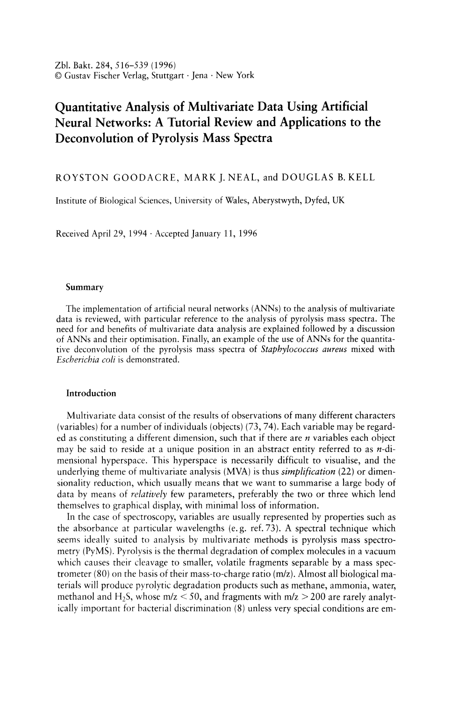layer that approximates to the natural logarithm of the number of nodes in the input layer. Thus with 150 input nodes this equates to 8. For a single determinand (output node) this architecture would be represented as a 150-8-1 ANN. However, it is noteworthy that during our work we have found that fewer nodes in the hidden layer (indeed often even zero) can be used to quantify PyMS data successfully.

#### *Preparation of data*

As mentioned previously it is of paramount importance to have the correct exemplars in the training and test sets. It is necessary also that these samples fill the sample space. Neural networks are very bad at extrapolating and to ensure good interpolation they need to be trained with samples equally-spaced over the desired concentration range; for a range of binary mixtures, it has been found, using PyMS, that 11 samples spaced every 10% will allow the network to generalise well (47).

Once the data used to train the ANN are collected, and the concentrations of the determinand ascertained using "wet chemistry", they are split into two data sets in which one half of the pair are the inputs (stimulus) of the network (for present purposes this would be the pyrolysis mass spectra normalised to the total ion count) and the other are the known or expected responses (i. e. the concentrations of the determinand[s]).

At this stage it is important to determine whether the training andlor test sets contain any outlying samples; these are usually detected using principal components analysis. It is known that if outliers are included in the construction of a calibration model then inaccuracies in the predictions from new multivariate data using the model are likely to occur (74).

Some of the *mlz* values may be omitted from the training data, a practice termed "pruning". It is unlikely however that the operator will know *a priori* which masses to remove so at least for typical back-propagation neural networks it is best to start with the intensities from all 150 masses.

The input and output nodes are next normalised between 0 and +1. It has been found (47, 52) that network generalisation is improved if the output layer is scaled to exploit less than the full range of the normalised scale, and the optimum for PyMS appears typically to be between +0.1 and +0.9. We have also found on occasion that scaling input nodes *individually,* i. e. over their own range rather than over the whole range encompassed in the entire input space, has improved learning rates dramatically  $(>100$  fold)  $(52, 86)$ .

#### *Training the neural network*

The first step is to choose the algorithm to be used for training the ANN. There are numerous algorithms available, and indeed the list of new ones expands continually. The most commonly employed is the standard back-propagation (BP) algorithm (93, 106, 107). Other algorithms which we have exploited include stochastic back-propagation, also termed learning by pattern (78), quick propagation (31), and Weigend weight elimination (104). The following describes training ANNs with the standard back-propagation algorithm.

Before training commences the connection weights are set to small random values, including the weights connecting the bias to the hidden and output layers (102). Next the stimulus pattern is applied to the network, which is allowed to run until an output is produced at each output node. The differences between the actual output and that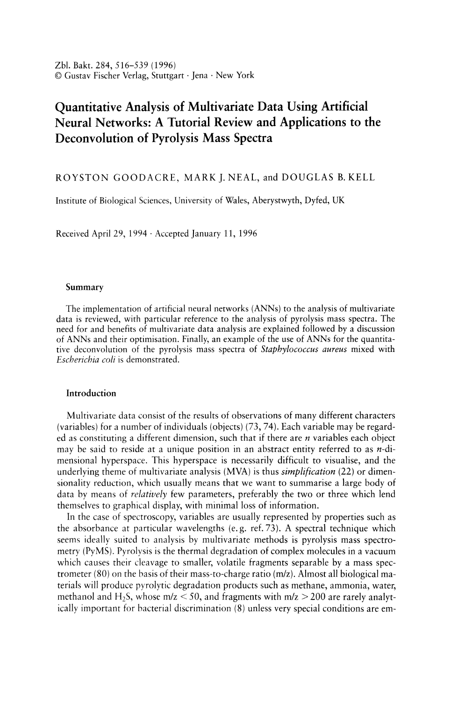expected, taken over the entire set of patterns, are fed back through the network in the reverse direction to signal flow (hence back-propagation) modifying the weights as they go. This process is repeated until a suitable level of error is achieved (93,97, 102).

For any given ANN, set of connection weight values, and training set there exists an overall RMS error of prediction. An error surface can be constructed by using one dimension in a multidimensional space to represent each connection weight, and an additional one for the RMS error. The BP algorithm performs gradient descent on this error surface by modifying each weight in proportion to the gradient of the surface at its location. Two constants, *learning rate* and *momentum,* control this process; for standard BP a learning rate of 0.1 and a momentum of 0.9 often give the best results. Learning rate scales the magnitude of the step down the error surface taken after each complete calculation in the network (epoch), and momentum acts like a low pass filter, smoothing out progress over small bumps in the error surface by remembering the previous weight change.

It is known that gradient descent can sometimes cause networks to get "stuck" in a depression in the error surface should such a depression exist. These are termed "local minima" (97, 102). However, it has been found empirically that local minima are seldom problematic for larger networks dealing with problems such as those presently under discussion, since the chance of encountering a multidimensional depression that is bounded in every dimension is relatively small.

One complete calculation in the network is called an epoch. This is equivalent to one complete pass through all the training data, calculating for *each member* of the training set. For a 150-8-1 ANN topology, trained with the standard back-propagation algorithm (93, 106, 107), where the weights are updated after all the training data are seen, one epoch represents 1217 connection weight updatings (1200 weights between the input and hidden layer (150  $\times$  8), 8 weights between the hidden layer and the output node  $(8 \times 1)$ , and 9 weights from the bias to the 8 nodes in the hidden layer and the single output node) and a recalculation of the root mean squared (RMS) error between the true and desired outputs over the entire training set. In contrast, one epoch for an ANN trained using the stochastic back-propagation (78) would also induce the weight updatings after *each* of the training pairs is passed through the neural network.

## *Stability and convergence*

During training a plot of the RMS error versus the number of epochs represents the "learning curve", and may be used to estimate the extent of training. Training may be said to have finished when the network has found the lowest RMS error. Provided the network has not become stuck in a local minimum, this point is refered to as the global minimum on the error surface.

It is known (45, 52, 93, 102) that neural networks can become over-trained. An over-trained neural network has usually learnt perfectly the stimulus pattern it has seen but can not give accurate predictions for unseen stimuli, and it is no longer able to generalise. For ANNs accurately to learn the concentrations of determinands in biological systems networks must obviously be trained to the correct point. It is therefore imperative that ANNs should be trained several (perhaps many) times to ascertain whether they converge reproducibly. In addition, a superior method to reveal when the neural network will best generalise is to use the (or a) test set to cross-validate the model. During training the network may be interrogated with new stimulus patterns so as to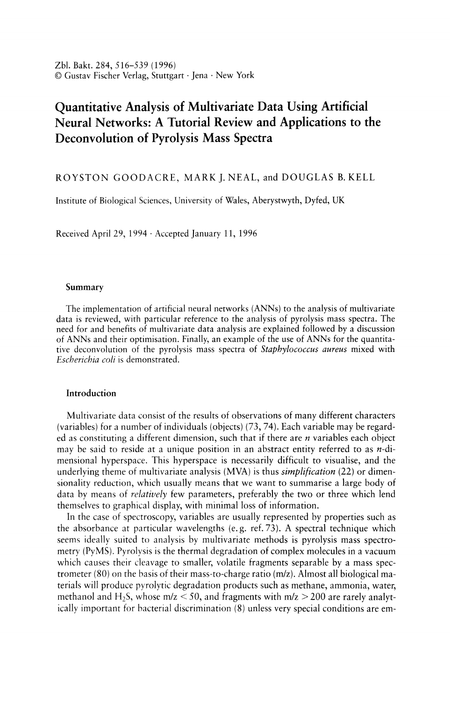generate outputs at the output node. The stimuli used may be pyrolysis mass spectra, whose determinand concentration is known to the operator but not to the neural network. The error between the output seen and that expected may then be calculated thus allowing a second learning curve for the test set to be drawn. Training is stopped when the RMS error on the test or cross-validation data is lowest.

Table 1. Some parameters which one may vary during the production of a feedforward back-propagation neural network calibration model to improve learning/convergence and generalisation

1. Number of hidden layers:

One is thought sufficient for most problems. More give a big increase in computational load.

2. Number of nodes in hidden layer:

Rule of thumb says *In* (number of inputs).

3. Architecture:

Fully interconnected feedforward net is most common. Many others exist such as adaptive resonance theory, Boltzmann machine, direct linear feedthrough, Hopfield networks, Kohonen networks.

4. Number of exemplars in training set:

Need enough to fill parameter space and to allow generalisation. When fewer are used then the network can "store" all the knowledge.

5. Number of input variables:

Those that do not contribute positively to discrimination may impair generalisation and are best removed by pruning the input data.

6. Scaling of input and output variables:

Individual scaling on inputs improves learning speed dramatically. There is a need to leave headroom, especially on the output layer.

7. Updating algorithm:

There are many variants on the original "vanilla-flavoured" back-propagation (BP) – most of which give small but worthwhile improvements. Others include radial basis functions, quick-prop, stochastic BP, Weigend weight eliminator. Standard back-propagation (93) is still the most popular.

8. Learning rate and momentum:

Need to be carefully chosen so that the net does not get stuck in local minima nor "shoot" off in the wrong direction when encountering small bumps on the error surface. For standard BP a learning rate of 0.1 and a momentum of 0.9 are best.

9. Stability:

Best to reserve some of the training data for cross-validation.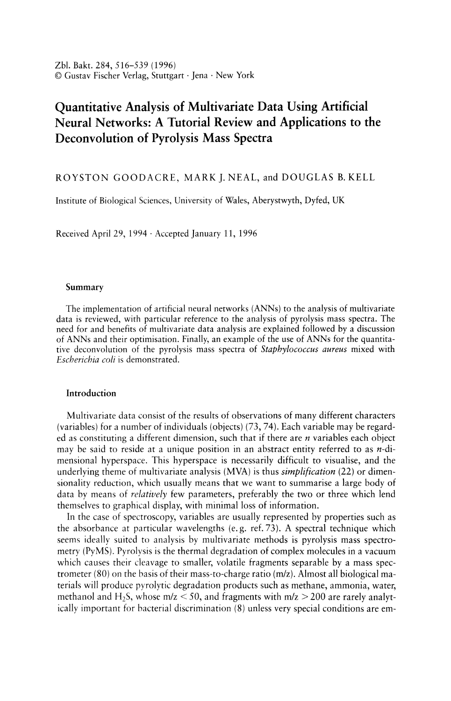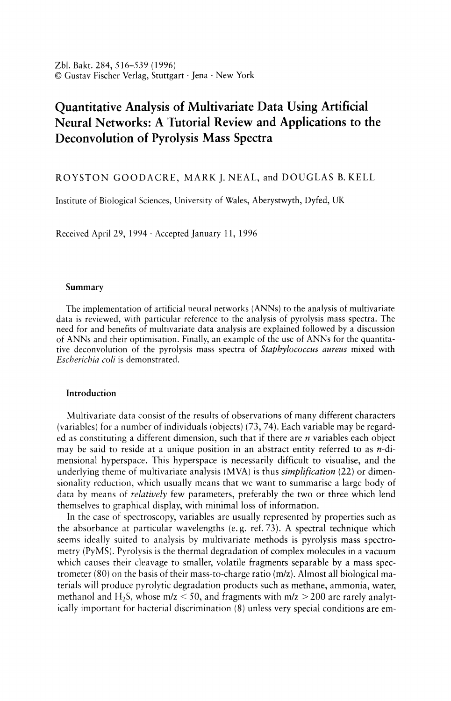